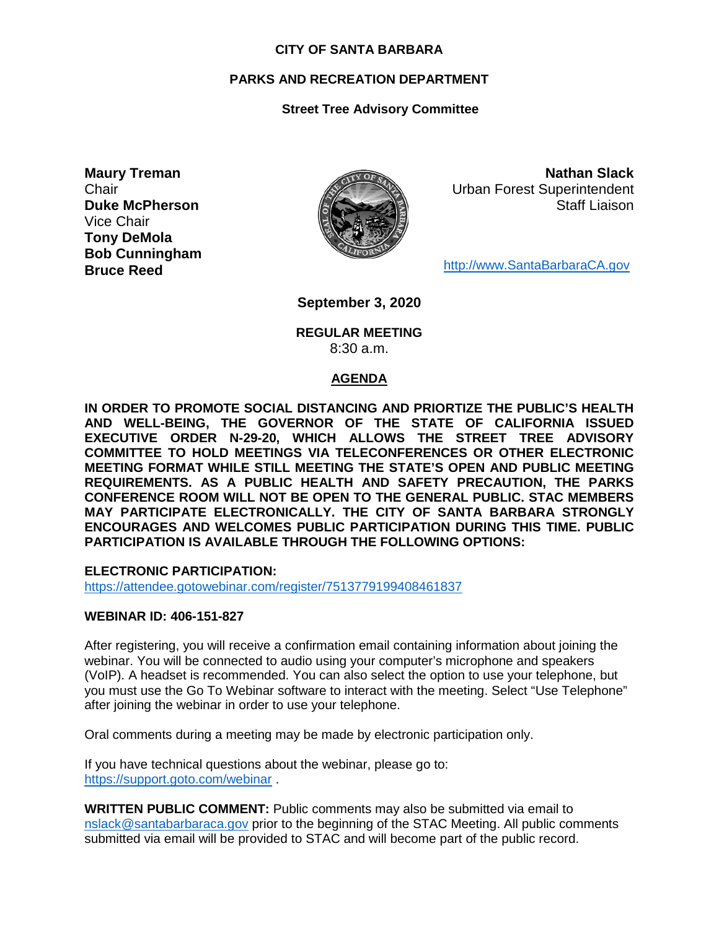#### **CITY OF SANTA BARBARA**

#### **PARKS AND RECREATION DEPARTMENT**

#### **Street Tree Advisory Committee**

**Maury Treman Chair Duke McPherson** Vice Chair **Tony DeMola Bob Cunningham Bruce Reed**



**Nathan Slack** Urban Forest Superintendent Staff Liaison

[http://www.SantaBarbaraCA.gov](http://www.santabarbaraca.gov/)

**September 3, 2020**

#### **REGULAR MEETING** 8:30 a.m.

#### **AGENDA**

**IN ORDER TO PROMOTE SOCIAL DISTANCING AND PRIORTIZE THE PUBLIC'S HEALTH AND WELL-BEING, THE GOVERNOR OF THE STATE OF CALIFORNIA ISSUED EXECUTIVE ORDER N-29-20, WHICH ALLOWS THE STREET TREE ADVISORY COMMITTEE TO HOLD MEETINGS VIA TELECONFERENCES OR OTHER ELECTRONIC MEETING FORMAT WHILE STILL MEETING THE STATE'S OPEN AND PUBLIC MEETING REQUIREMENTS. AS A PUBLIC HEALTH AND SAFETY PRECAUTION, THE PARKS CONFERENCE ROOM WILL NOT BE OPEN TO THE GENERAL PUBLIC. STAC MEMBERS MAY PARTICIPATE ELECTRONICALLY. THE CITY OF SANTA BARBARA STRONGLY ENCOURAGES AND WELCOMES PUBLIC PARTICIPATION DURING THIS TIME. PUBLIC PARTICIPATION IS AVAILABLE THROUGH THE FOLLOWING OPTIONS:**

**ELECTRONIC PARTICIPATION:** 

<https://attendee.gotowebinar.com/register/7513779199408461837>

#### **WEBINAR ID: 406-151-827**

After registering, you will receive a confirmation email containing information about joining the webinar. You will be connected to audio using your computer's microphone and speakers (VoIP). A headset is recommended. You can also select the option to use your telephone, but you must use the Go To Webinar software to interact with the meeting. Select "Use Telephone" after joining the webinar in order to use your telephone.

Oral comments during a meeting may be made by electronic participation only.

If you have technical questions about the webinar, please go to: <https://support.goto.com/webinar> .

**WRITTEN PUBLIC COMMENT:** Public comments may also be submitted via email to [nslack@santabarbaraca.gov](mailto:nslack@santabarbaraca.gov) prior to the beginning of the STAC Meeting. All public comments submitted via email will be provided to STAC and will become part of the public record.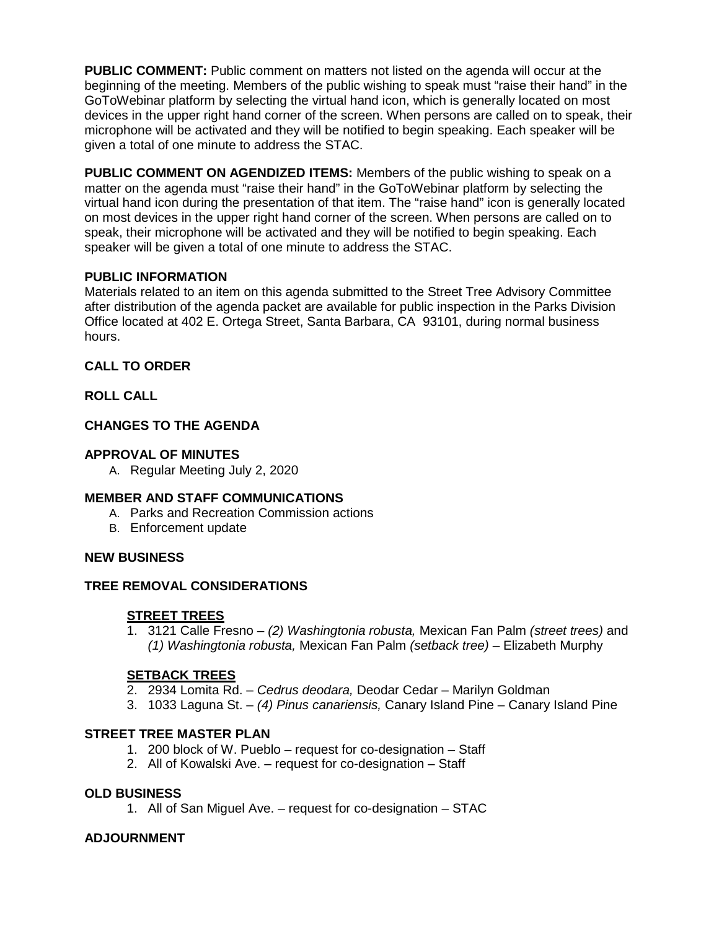**PUBLIC COMMENT:** Public comment on matters not listed on the agenda will occur at the beginning of the meeting. Members of the public wishing to speak must "raise their hand" in the GoToWebinar platform by selecting the virtual hand icon, which is generally located on most devices in the upper right hand corner of the screen. When persons are called on to speak, their microphone will be activated and they will be notified to begin speaking. Each speaker will be given a total of one minute to address the STAC.

**PUBLIC COMMENT ON AGENDIZED ITEMS:** Members of the public wishing to speak on a matter on the agenda must "raise their hand" in the GoToWebinar platform by selecting the virtual hand icon during the presentation of that item. The "raise hand" icon is generally located on most devices in the upper right hand corner of the screen. When persons are called on to speak, their microphone will be activated and they will be notified to begin speaking. Each speaker will be given a total of one minute to address the STAC.

## **PUBLIC INFORMATION**

Materials related to an item on this agenda submitted to the Street Tree Advisory Committee after distribution of the agenda packet are available for public inspection in the Parks Division Office located at 402 E. Ortega Street, Santa Barbara, CA 93101, during normal business hours.

# **CALL TO ORDER**

# **ROLL CALL**

# **CHANGES TO THE AGENDA**

# **APPROVAL OF MINUTES**

A. Regular Meeting July 2, 2020

## **MEMBER AND STAFF COMMUNICATIONS**

- A. Parks and Recreation Commission actions
- B. Enforcement update

## **NEW BUSINESS**

# **TREE REMOVAL CONSIDERATIONS**

# **STREET TREES**

1. 3121 Calle Fresno – *(2) Washingtonia robusta,* Mexican Fan Palm *(street trees)* and *(1) Washingtonia robusta,* Mexican Fan Palm *(setback tree)* – Elizabeth Murphy

# **SETBACK TREES**

- 2. 2934 Lomita Rd. *Cedrus deodara,* Deodar Cedar Marilyn Goldman
- 3. 1033 Laguna St. *(4) Pinus canariensis,* Canary Island Pine Canary Island Pine

## **STREET TREE MASTER PLAN**

- 1. 200 block of W. Pueblo request for co-designation Staff
- 2. All of Kowalski Ave. request for co-designation Staff

## **OLD BUSINESS**

1. All of San Miguel Ave. – request for co-designation – STAC

## **ADJOURNMENT**